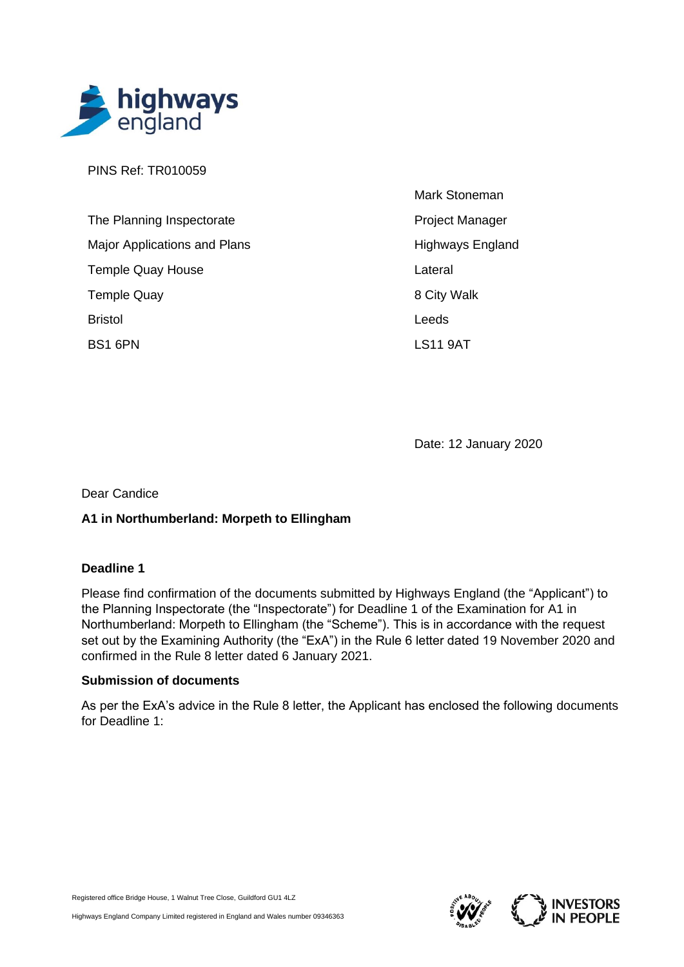

PINS Ref: TR010059

| The Planning Inspectorate           | Proje       |
|-------------------------------------|-------------|
| <b>Major Applications and Plans</b> | High        |
| <b>Temple Quay House</b>            | Later       |
| <b>Temple Quay</b>                  | 8 Cit       |
| <b>Bristol</b>                      | Leed        |
| <b>BS1 6PN</b>                      | <b>LS11</b> |

Mark Stoneman ect Manager ways England ral ty Walk ls 9AT

Date: 12 January 2020

Dear Candice

## **A1 in Northumberland: Morpeth to Ellingham**

#### **Deadline 1**

Please find confirmation of the documents submitted by Highways England (the "Applicant") to the Planning Inspectorate (the "Inspectorate") for Deadline 1 of the Examination for A1 in Northumberland: Morpeth to Ellingham (the "Scheme"). This is in accordance with the request set out by the Examining Authority (the "ExA") in the Rule 6 letter dated 19 November 2020 and confirmed in the Rule 8 letter dated 6 January 2021.

#### **Submission of documents**

As per the ExA's advice in the Rule 8 letter, the Applicant has enclosed the following documents for Deadline 1:

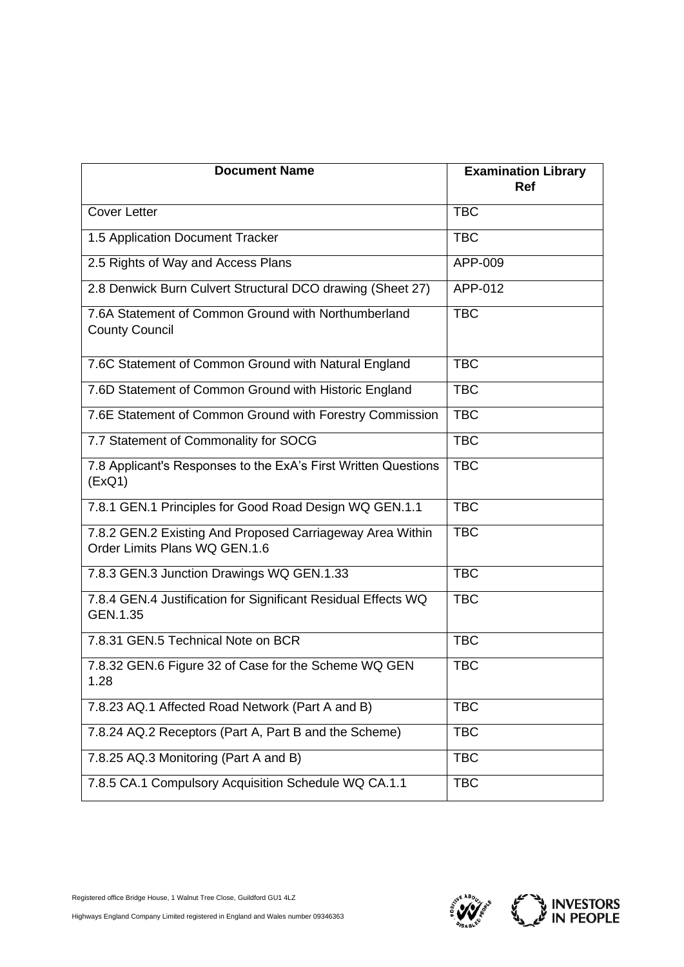| <b>Document Name</b>                                                                       | <b>Examination Library</b><br><b>Ref</b> |
|--------------------------------------------------------------------------------------------|------------------------------------------|
| <b>Cover Letter</b>                                                                        | <b>TBC</b>                               |
| 1.5 Application Document Tracker                                                           | <b>TBC</b>                               |
| 2.5 Rights of Way and Access Plans                                                         | APP-009                                  |
| 2.8 Denwick Burn Culvert Structural DCO drawing (Sheet 27)                                 | APP-012                                  |
| 7.6A Statement of Common Ground with Northumberland<br><b>County Council</b>               | <b>TBC</b>                               |
| 7.6C Statement of Common Ground with Natural England                                       | <b>TBC</b>                               |
| 7.6D Statement of Common Ground with Historic England                                      | <b>TBC</b>                               |
| 7.6E Statement of Common Ground with Forestry Commission                                   | <b>TBC</b>                               |
| 7.7 Statement of Commonality for SOCG                                                      | <b>TBC</b>                               |
| 7.8 Applicant's Responses to the ExA's First Written Questions<br>(EXQ1)                   | <b>TBC</b>                               |
| 7.8.1 GEN.1 Principles for Good Road Design WQ GEN.1.1                                     | <b>TBC</b>                               |
| 7.8.2 GEN.2 Existing And Proposed Carriageway Area Within<br>Order Limits Plans WQ GEN.1.6 | <b>TBC</b>                               |
| 7.8.3 GEN.3 Junction Drawings WQ GEN.1.33                                                  | <b>TBC</b>                               |
| 7.8.4 GEN.4 Justification for Significant Residual Effects WQ<br>GEN.1.35                  | <b>TBC</b>                               |
| 7.8.31 GEN.5 Technical Note on BCR                                                         | <b>TBC</b>                               |
| 7.8.32 GEN.6 Figure 32 of Case for the Scheme WQ GEN<br>1.28                               | <b>TBC</b>                               |
| 7.8.23 AQ.1 Affected Road Network (Part A and B)                                           | <b>TBC</b>                               |
| 7.8.24 AQ.2 Receptors (Part A, Part B and the Scheme)                                      | <b>TBC</b>                               |
| 7.8.25 AQ.3 Monitoring (Part A and B)                                                      | <b>TBC</b>                               |
| 7.8.5 CA.1 Compulsory Acquisition Schedule WQ CA.1.1                                       | <b>TBC</b>                               |

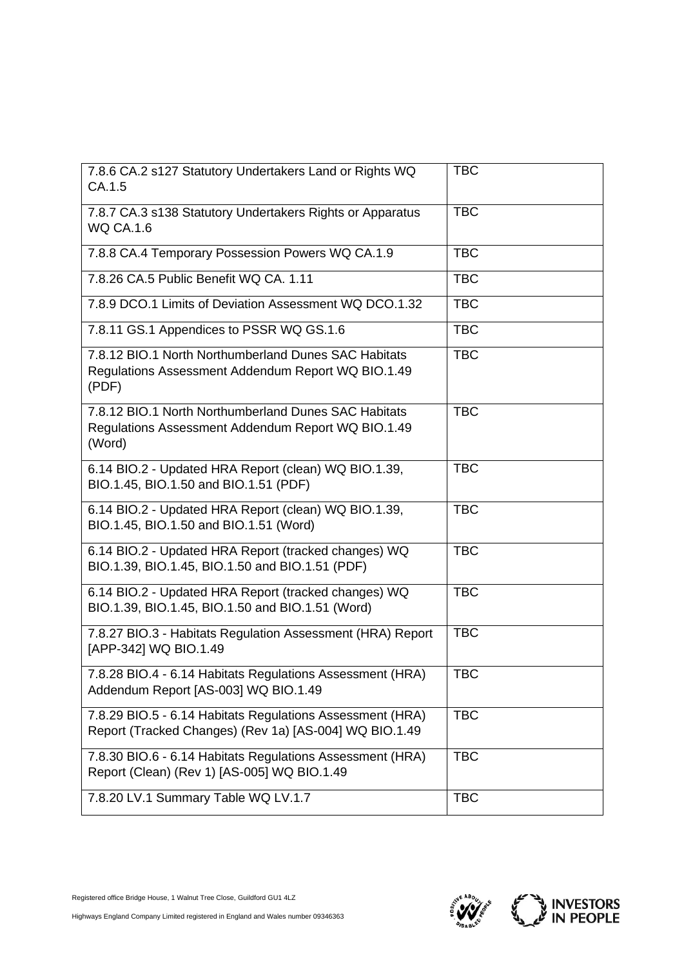| 7.8.6 CA.2 s127 Statutory Undertakers Land or Rights WQ<br>CA.1.5                                                    | <b>TBC</b> |
|----------------------------------------------------------------------------------------------------------------------|------------|
| 7.8.7 CA.3 s138 Statutory Undertakers Rights or Apparatus<br><b>WQ CA.1.6</b>                                        | <b>TBC</b> |
| 7.8.8 CA.4 Temporary Possession Powers WQ CA.1.9                                                                     | <b>TBC</b> |
| 7.8.26 CA.5 Public Benefit WQ CA. 1.11                                                                               | <b>TBC</b> |
| 7.8.9 DCO.1 Limits of Deviation Assessment WQ DCO.1.32                                                               | <b>TBC</b> |
| 7.8.11 GS.1 Appendices to PSSR WQ GS.1.6                                                                             | <b>TBC</b> |
| 7.8.12 BIO.1 North Northumberland Dunes SAC Habitats<br>Regulations Assessment Addendum Report WQ BIO.1.49<br>(PDF)  | <b>TBC</b> |
| 7.8.12 BIO.1 North Northumberland Dunes SAC Habitats<br>Regulations Assessment Addendum Report WQ BIO.1.49<br>(Word) | <b>TBC</b> |
| 6.14 BIO.2 - Updated HRA Report (clean) WQ BIO.1.39,<br>BIO.1.45, BIO.1.50 and BIO.1.51 (PDF)                        | <b>TBC</b> |
| 6.14 BIO.2 - Updated HRA Report (clean) WQ BIO.1.39,<br>BIO.1.45, BIO.1.50 and BIO.1.51 (Word)                       | <b>TBC</b> |
| 6.14 BIO.2 - Updated HRA Report (tracked changes) WQ<br>BIO.1.39, BIO.1.45, BIO.1.50 and BIO.1.51 (PDF)              | <b>TBC</b> |
| 6.14 BIO.2 - Updated HRA Report (tracked changes) WQ<br>BIO.1.39, BIO.1.45, BIO.1.50 and BIO.1.51 (Word)             | <b>TBC</b> |
| 7.8.27 BIO.3 - Habitats Regulation Assessment (HRA) Report<br>[APP-342] WQ BIO.1.49                                  | <b>TBC</b> |
| 7.8.28 BIO.4 - 6.14 Habitats Regulations Assessment (HRA)<br>Addendum Report [AS-003] WQ BIO.1.49                    | <b>TBC</b> |
| 7.8.29 BIO.5 - 6.14 Habitats Regulations Assessment (HRA)<br>Report (Tracked Changes) (Rev 1a) [AS-004] WQ BIO.1.49  | <b>TBC</b> |
| 7.8.30 BIO.6 - 6.14 Habitats Regulations Assessment (HRA)<br>Report (Clean) (Rev 1) [AS-005] WQ BIO.1.49             | <b>TBC</b> |
| 7.8.20 LV.1 Summary Table WQ LV.1.7                                                                                  | <b>TBC</b> |

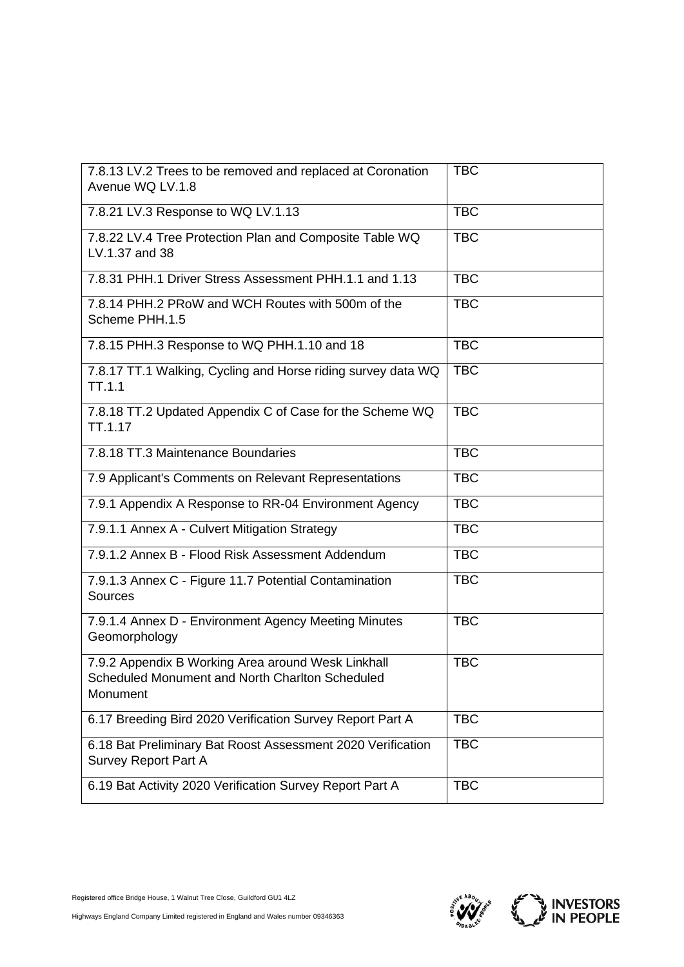| 7.8.13 LV.2 Trees to be removed and replaced at Coronation<br>Avenue WQ LV.1.8                                    | <b>TBC</b> |
|-------------------------------------------------------------------------------------------------------------------|------------|
| 7.8.21 LV.3 Response to WQ LV.1.13                                                                                | <b>TBC</b> |
| 7.8.22 LV.4 Tree Protection Plan and Composite Table WQ<br>LV.1.37 and 38                                         | <b>TBC</b> |
| 7.8.31 PHH.1 Driver Stress Assessment PHH.1.1 and 1.13                                                            | <b>TBC</b> |
| 7.8.14 PHH.2 PRoW and WCH Routes with 500m of the<br>Scheme PHH.1.5                                               | <b>TBC</b> |
| 7.8.15 PHH.3 Response to WQ PHH.1.10 and 18                                                                       | <b>TBC</b> |
| 7.8.17 TT.1 Walking, Cycling and Horse riding survey data WQ<br><b>TT.1.1</b>                                     | <b>TBC</b> |
| 7.8.18 TT.2 Updated Appendix C of Case for the Scheme WQ<br>TT.1.17                                               | <b>TBC</b> |
| 7.8.18 TT.3 Maintenance Boundaries                                                                                | <b>TBC</b> |
| 7.9 Applicant's Comments on Relevant Representations                                                              | <b>TBC</b> |
| 7.9.1 Appendix A Response to RR-04 Environment Agency                                                             | <b>TBC</b> |
| 7.9.1.1 Annex A - Culvert Mitigation Strategy                                                                     | <b>TBC</b> |
| 7.9.1.2 Annex B - Flood Risk Assessment Addendum                                                                  | <b>TBC</b> |
| 7.9.1.3 Annex C - Figure 11.7 Potential Contamination<br><b>Sources</b>                                           | <b>TBC</b> |
| 7.9.1.4 Annex D - Environment Agency Meeting Minutes<br>Geomorphology                                             | <b>TBC</b> |
| 7.9.2 Appendix B Working Area around Wesk Linkhall<br>Scheduled Monument and North Charlton Scheduled<br>Monument | <b>TBC</b> |
| 6.17 Breeding Bird 2020 Verification Survey Report Part A                                                         | <b>TBC</b> |
| 6.18 Bat Preliminary Bat Roost Assessment 2020 Verification<br><b>Survey Report Part A</b>                        | <b>TBC</b> |
| 6.19 Bat Activity 2020 Verification Survey Report Part A                                                          | <b>TBC</b> |

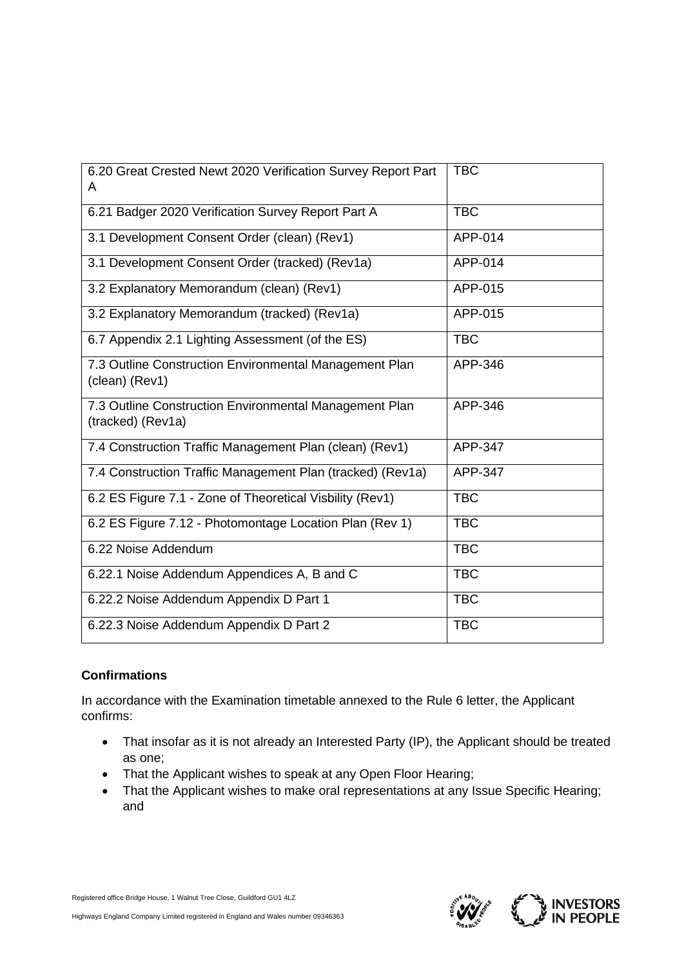| 6.20 Great Crested Newt 2020 Verification Survey Report Part<br>A           | <b>TBC</b> |
|-----------------------------------------------------------------------------|------------|
| 6.21 Badger 2020 Verification Survey Report Part A                          | <b>TBC</b> |
| 3.1 Development Consent Order (clean) (Rev1)                                | APP-014    |
| 3.1 Development Consent Order (tracked) (Rev1a)                             | APP-014    |
| 3.2 Explanatory Memorandum (clean) (Rev1)                                   | APP-015    |
| 3.2 Explanatory Memorandum (tracked) (Rev1a)                                | APP-015    |
| 6.7 Appendix 2.1 Lighting Assessment (of the ES)                            | <b>TBC</b> |
| 7.3 Outline Construction Environmental Management Plan<br>(clean) (Rev1)    | APP-346    |
| 7.3 Outline Construction Environmental Management Plan<br>(tracked) (Rev1a) | APP-346    |
| 7.4 Construction Traffic Management Plan (clean) (Rev1)                     | APP-347    |
| 7.4 Construction Traffic Management Plan (tracked) (Rev1a)                  | APP-347    |
| 6.2 ES Figure 7.1 - Zone of Theoretical Visbility (Rev1)                    | <b>TBC</b> |
| 6.2 ES Figure 7.12 - Photomontage Location Plan (Rev 1)                     | <b>TBC</b> |
| 6.22 Noise Addendum                                                         | <b>TBC</b> |
| 6.22.1 Noise Addendum Appendices A, B and C                                 | <b>TBC</b> |
| 6.22.2 Noise Addendum Appendix D Part 1                                     | <b>TBC</b> |
| 6.22.3 Noise Addendum Appendix D Part 2                                     | <b>TBC</b> |

# **Confirmations**

In accordance with the Examination timetable annexed to the Rule 6 letter, the Applicant confirms:

- That insofar as it is not already an Interested Party (IP), the Applicant should be treated as one;
- That the Applicant wishes to speak at any Open Floor Hearing;
- That the Applicant wishes to make oral representations at any Issue Specific Hearing; and

Registered office Bridge House, 1 Walnut Tree Close, Guildford GU1 4LZ

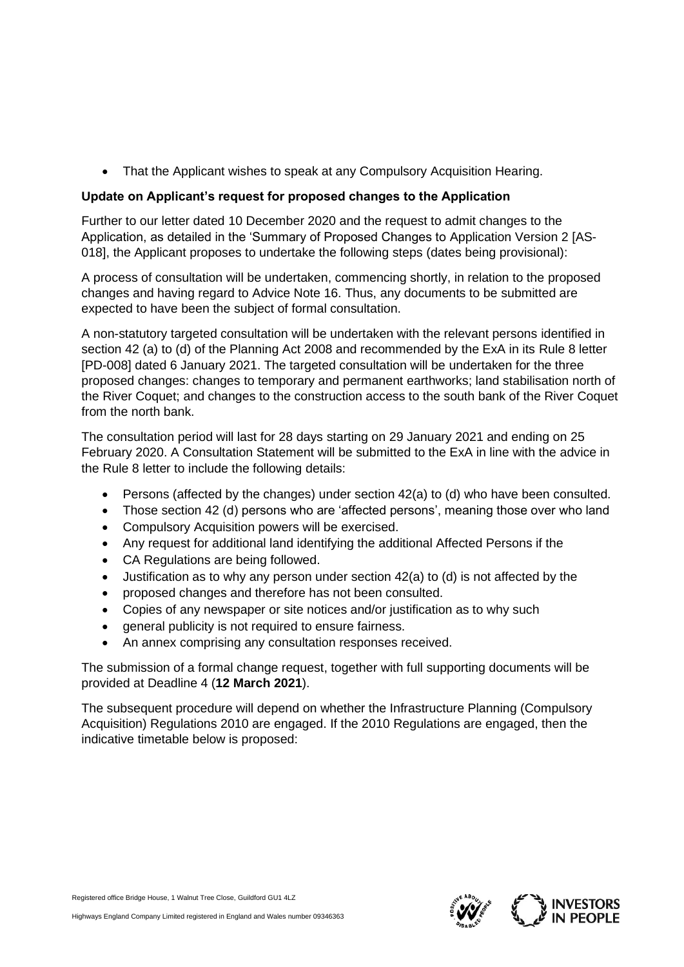• That the Applicant wishes to speak at any Compulsory Acquisition Hearing.

### **Update on Applicant's request for proposed changes to the Application**

Further to our letter dated 10 December 2020 and the request to admit changes to the Application, as detailed in the 'Summary of Proposed Changes to Application Version 2 [AS-018], the Applicant proposes to undertake the following steps (dates being provisional):

A process of consultation will be undertaken, commencing shortly, in relation to the proposed changes and having regard to Advice Note 16. Thus, any documents to be submitted are expected to have been the subject of formal consultation.

A non-statutory targeted consultation will be undertaken with the relevant persons identified in section 42 (a) to (d) of the Planning Act 2008 and recommended by the ExA in its Rule 8 letter [PD-008] dated 6 January 2021. The targeted consultation will be undertaken for the three proposed changes: changes to temporary and permanent earthworks; land stabilisation north of the River Coquet; and changes to the construction access to the south bank of the River Coquet from the north bank.

The consultation period will last for 28 days starting on 29 January 2021 and ending on 25 February 2020. A Consultation Statement will be submitted to the ExA in line with the advice in the Rule 8 letter to include the following details:

- Persons (affected by the changes) under section 42(a) to (d) who have been consulted.
- Those section 42 (d) persons who are 'affected persons', meaning those over who land
- Compulsory Acquisition powers will be exercised.
- Any request for additional land identifying the additional Affected Persons if the
- CA Regulations are being followed.
- Justification as to why any person under section 42(a) to (d) is not affected by the
- proposed changes and therefore has not been consulted.
- Copies of any newspaper or site notices and/or justification as to why such
- general publicity is not required to ensure fairness.
- An annex comprising any consultation responses received.

The submission of a formal change request, together with full supporting documents will be provided at Deadline 4 (**12 March 2021**).

The subsequent procedure will depend on whether the Infrastructure Planning (Compulsory Acquisition) Regulations 2010 are engaged. If the 2010 Regulations are engaged, then the indicative timetable below is proposed:

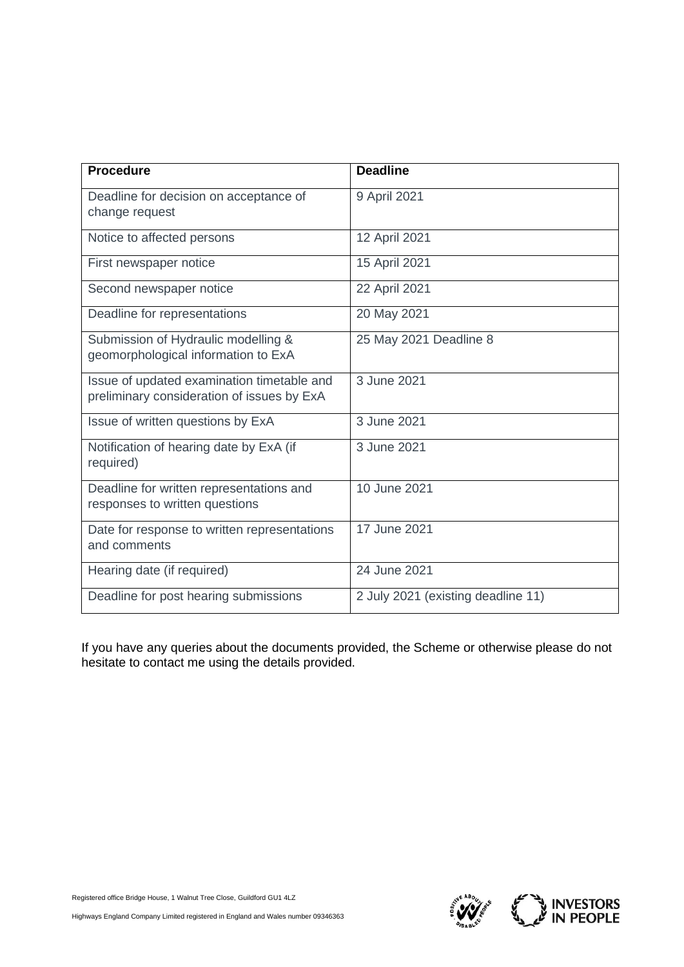| <b>Procedure</b>                                                                         | <b>Deadline</b>                    |
|------------------------------------------------------------------------------------------|------------------------------------|
| Deadline for decision on acceptance of<br>change request                                 | 9 April 2021                       |
| Notice to affected persons                                                               | 12 April 2021                      |
| First newspaper notice                                                                   | 15 April 2021                      |
| Second newspaper notice                                                                  | 22 April 2021                      |
| Deadline for representations                                                             | 20 May 2021                        |
| Submission of Hydraulic modelling &<br>geomorphological information to ExA               | 25 May 2021 Deadline 8             |
| Issue of updated examination timetable and<br>preliminary consideration of issues by ExA | 3 June 2021                        |
| Issue of written questions by ExA                                                        | 3 June 2021                        |
| Notification of hearing date by ExA (if<br>required)                                     | 3 June 2021                        |
| Deadline for written representations and<br>responses to written questions               | 10 June 2021                       |
| Date for response to written representations<br>and comments                             | 17 June 2021                       |
| Hearing date (if required)                                                               | 24 June 2021                       |
| Deadline for post hearing submissions                                                    | 2 July 2021 (existing deadline 11) |

If you have any queries about the documents provided, the Scheme or otherwise please do not hesitate to contact me using the details provided.